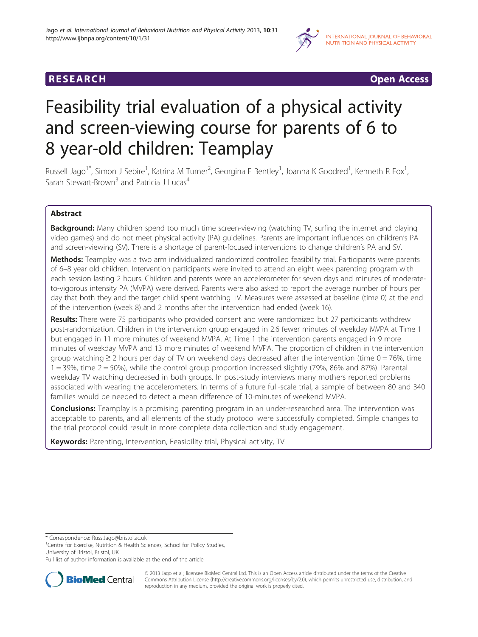



# Feasibility trial evaluation of a physical activity and screen-viewing course for parents of 6 to 8 year-old children: Teamplay

Russell Jago<sup>1\*</sup>, Simon J Sebire<sup>1</sup>, Katrina M Turner<sup>2</sup>, Georgina F Bentley<sup>1</sup>, Joanna K Goodred<sup>1</sup>, Kenneth R Fox<sup>1</sup> , Sarah Stewart-Brown<sup>3</sup> and Patricia LLucas<sup>4</sup>

# Abstract

Background: Many children spend too much time screen-viewing (watching TV, surfing the internet and playing video games) and do not meet physical activity (PA) guidelines. Parents are important influences on children's PA and screen-viewing (SV). There is a shortage of parent-focused interventions to change children's PA and SV.

Methods: Teamplay was a two arm individualized randomized controlled feasibility trial. Participants were parents of 6–8 year old children. Intervention participants were invited to attend an eight week parenting program with each session lasting 2 hours. Children and parents wore an accelerometer for seven days and minutes of moderateto-vigorous intensity PA (MVPA) were derived. Parents were also asked to report the average number of hours per day that both they and the target child spent watching TV. Measures were assessed at baseline (time 0) at the end of the intervention (week 8) and 2 months after the intervention had ended (week 16).

Results: There were 75 participants who provided consent and were randomized but 27 participants withdrew post-randomization. Children in the intervention group engaged in 2.6 fewer minutes of weekday MVPA at Time 1 but engaged in 11 more minutes of weekend MVPA. At Time 1 the intervention parents engaged in 9 more minutes of weekday MVPA and 13 more minutes of weekend MVPA. The proportion of children in the intervention group watching  $\geq 2$  hours per day of TV on weekend days decreased after the intervention (time  $0 = 76\%$ , time  $1 = 39\%$ , time  $2 = 50\%$ ), while the control group proportion increased slightly (79%, 86% and 87%). Parental weekday TV watching decreased in both groups. In post-study interviews many mothers reported problems associated with wearing the accelerometers. In terms of a future full-scale trial, a sample of between 80 and 340 families would be needed to detect a mean difference of 10-minutes of weekend MVPA.

**Conclusions:** Teamplay is a promising parenting program in an under-researched area. The intervention was acceptable to parents, and all elements of the study protocol were successfully completed. Simple changes to the trial protocol could result in more complete data collection and study engagement.

Keywords: Parenting, Intervention, Feasibility trial, Physical activity, TV

\* Correspondence: [Russ.Jago@bristol.ac.uk](mailto:Russ.Jago@bristol.ac.uk) <sup>1</sup>

<sup>1</sup> Centre for Exercise, Nutrition & Health Sciences, School for Policy Studies, University of Bristol, Bristol, UK

Full list of author information is available at the end of the article



© 2013 Jago et al.; licensee BioMed Central Ltd. This is an Open Access article distributed under the terms of the Creative Commons Attribution License [\(http://creativecommons.org/licenses/by/2.0\)](http://creativecommons.org/licenses/by/2.0), which permits unrestricted use, distribution, and reproduction in any medium, provided the original work is properly cited.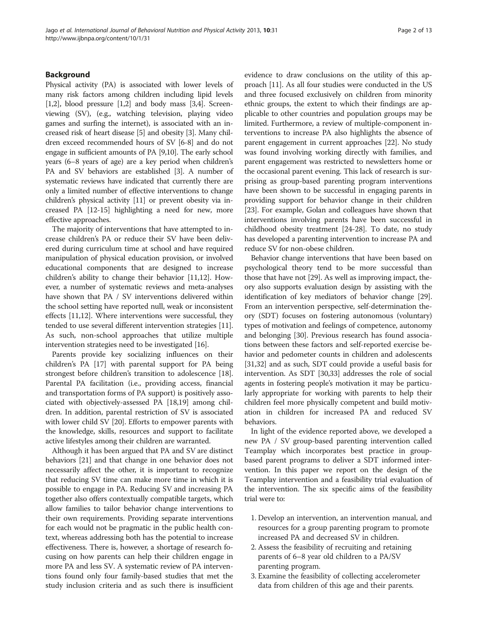## Background

Physical activity (PA) is associated with lower levels of many risk factors among children including lipid levels [[1,2](#page-10-0)], blood pressure [\[1,2\]](#page-10-0) and body mass [\[3,](#page-10-0)[4\]](#page-11-0). Screenviewing (SV), (e.g., watching television, playing video games and surfing the internet), is associated with an increased risk of heart disease [\[5\]](#page-11-0) and obesity [[3](#page-10-0)]. Many children exceed recommended hours of SV [\[6](#page-11-0)-[8](#page-11-0)] and do not engage in sufficient amounts of PA [\[9,10](#page-11-0)]. The early school years (6–8 years of age) are a key period when children's PA and SV behaviors are established [\[3\]](#page-10-0). A number of systematic reviews have indicated that currently there are only a limited number of effective interventions to change children's physical activity [[11](#page-11-0)] or prevent obesity via increased PA [[12](#page-11-0)-[15](#page-11-0)] highlighting a need for new, more effective approaches.

The majority of interventions that have attempted to increase children's PA or reduce their SV have been delivered during curriculum time at school and have required manipulation of physical education provision, or involved educational components that are designed to increase children's ability to change their behavior [[11,12](#page-11-0)]. However, a number of systematic reviews and meta-analyses have shown that PA / SV interventions delivered within the school setting have reported null, weak or inconsistent effects [[11,12](#page-11-0)]. Where interventions were successful, they tended to use several different intervention strategies [[11](#page-11-0)]. As such, non-school approaches that utilize multiple intervention strategies need to be investigated [\[16](#page-11-0)].

Parents provide key socializing influences on their children's PA [\[17\]](#page-11-0) with parental support for PA being strongest before children's transition to adolescence [[18](#page-11-0)]. Parental PA facilitation (i.e., providing access, financial and transportation forms of PA support) is positively associated with objectively-assessed PA [[18,19](#page-11-0)] among children. In addition, parental restriction of SV is associated with lower child SV [\[20\]](#page-11-0). Efforts to empower parents with the knowledge, skills, resources and support to facilitate active lifestyles among their children are warranted.

Although it has been argued that PA and SV are distinct behaviors [\[21](#page-11-0)] and that change in one behavior does not necessarily affect the other, it is important to recognize that reducing SV time can make more time in which it is possible to engage in PA. Reducing SV and increasing PA together also offers contextually compatible targets, which allow families to tailor behavior change interventions to their own requirements. Providing separate interventions for each would not be pragmatic in the public health context, whereas addressing both has the potential to increase effectiveness. There is, however, a shortage of research focusing on how parents can help their children engage in more PA and less SV. A systematic review of PA interventions found only four family-based studies that met the study inclusion criteria and as such there is insufficient evidence to draw conclusions on the utility of this approach [\[11](#page-11-0)]. As all four studies were conducted in the US and three focused exclusively on children from minority ethnic groups, the extent to which their findings are applicable to other countries and population groups may be limited. Furthermore, a review of multiple-component interventions to increase PA also highlights the absence of parent engagement in current approaches [[22](#page-11-0)]. No study was found involving working directly with families, and parent engagement was restricted to newsletters home or the occasional parent evening. This lack of research is surprising as group-based parenting program interventions have been shown to be successful in engaging parents in providing support for behavior change in their children [[23](#page-11-0)]. For example, Golan and colleagues have shown that interventions involving parents have been successful in childhood obesity treatment [\[24-28](#page-11-0)]. To date, no study has developed a parenting intervention to increase PA and reduce SV for non-obese children.

Behavior change interventions that have been based on psychological theory tend to be more successful than those that have not [[29](#page-11-0)]. As well as improving impact, theory also supports evaluation design by assisting with the identification of key mediators of behavior change [[29](#page-11-0)]. From an intervention perspective, self-determination theory (SDT) focuses on fostering autonomous (voluntary) types of motivation and feelings of competence, autonomy and belonging [\[30\]](#page-11-0). Previous research has found associations between these factors and self-reported exercise behavior and pedometer counts in children and adolescents [[31](#page-11-0),[32](#page-11-0)] and as such, SDT could provide a useful basis for intervention. As SDT [\[30,33\]](#page-11-0) addresses the role of social agents in fostering people's motivation it may be particularly appropriate for working with parents to help their children feel more physically competent and build motivation in children for increased PA and reduced SV behaviors.

In light of the evidence reported above, we developed a new PA / SV group-based parenting intervention called Teamplay which incorporates best practice in groupbased parent programs to deliver a SDT informed intervention. In this paper we report on the design of the Teamplay intervention and a feasibility trial evaluation of the intervention. The six specific aims of the feasibility trial were to:

- 1. Develop an intervention, an intervention manual, and resources for a group parenting program to promote increased PA and decreased SV in children.
- 2. Assess the feasibility of recruiting and retaining parents of 6–8 year old children to a PA/SV parenting program.
- 3. Examine the feasibility of collecting accelerometer data from children of this age and their parents.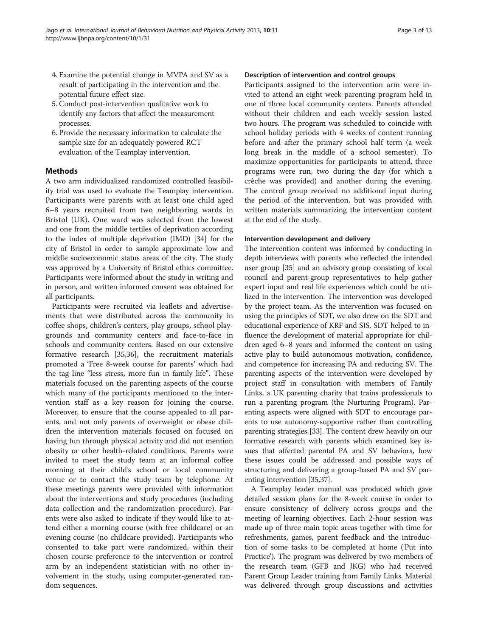- 4. Examine the potential change in MVPA and SV as a result of participating in the intervention and the potential future effect size.
- 5. Conduct post-intervention qualitative work to identify any factors that affect the measurement processes.
- 6. Provide the necessary information to calculate the sample size for an adequately powered RCT evaluation of the Teamplay intervention.

# Methods

A two arm individualized randomized controlled feasibility trial was used to evaluate the Teamplay intervention. Participants were parents with at least one child aged 6–8 years recruited from two neighboring wards in Bristol (UK). One ward was selected from the lowest and one from the middle tertiles of deprivation according to the index of multiple deprivation (IMD) [\[34\]](#page-11-0) for the city of Bristol in order to sample approximate low and middle socioeconomic status areas of the city. The study was approved by a University of Bristol ethics committee. Participants were informed about the study in writing and in person, and written informed consent was obtained for all participants.

Participants were recruited via leaflets and advertisements that were distributed across the community in coffee shops, children's centers, play groups, school playgrounds and community centers and face-to-face in schools and community centers. Based on our extensive formative research [[35](#page-11-0),[36](#page-11-0)], the recruitment materials promoted a 'Free 8-week course for parents' which had the tag line "less stress, more fun in family life". These materials focused on the parenting aspects of the course which many of the participants mentioned to the intervention staff as a key reason for joining the course. Moreover, to ensure that the course appealed to all parents, and not only parents of overweight or obese children the intervention materials focused on focused on having fun through physical activity and did not mention obesity or other health-related conditions. Parents were invited to meet the study team at an informal coffee morning at their child's school or local community venue or to contact the study team by telephone. At these meetings parents were provided with information about the interventions and study procedures (including data collection and the randomization procedure). Parents were also asked to indicate if they would like to attend either a morning course (with free childcare) or an evening course (no childcare provided). Participants who consented to take part were randomized, within their chosen course preference to the intervention or control arm by an independent statistician with no other involvement in the study, using computer-generated random sequences.

#### Description of intervention and control groups

Participants assigned to the intervention arm were invited to attend an eight week parenting program held in one of three local community centers. Parents attended without their children and each weekly session lasted two hours. The program was scheduled to coincide with school holiday periods with 4 weeks of content running before and after the primary school half term (a week long break in the middle of a school semester). To maximize opportunities for participants to attend, three programs were run, two during the day (for which a crèche was provided) and another during the evening. The control group received no additional input during the period of the intervention, but was provided with written materials summarizing the intervention content at the end of the study.

#### Intervention development and delivery

The intervention content was informed by conducting in depth interviews with parents who reflected the intended user group [[35\]](#page-11-0) and an advisory group consisting of local council and parent-group representatives to help gather expert input and real life experiences which could be utilized in the intervention. The intervention was developed by the project team. As the intervention was focused on using the principles of SDT, we also drew on the SDT and educational experience of KRF and SJS. SDT helped to influence the development of material appropriate for children aged 6–8 years and informed the content on using active play to build autonomous motivation, confidence, and competence for increasing PA and reducing SV. The parenting aspects of the intervention were developed by project staff in consultation with members of Family Links, a UK parenting charity that trains professionals to run a parenting program (the Nurturing Program). Parenting aspects were aligned with SDT to encourage parents to use autonomy-supportive rather than controlling parenting strategies [[33](#page-11-0)]. The content drew heavily on our formative research with parents which examined key issues that affected parental PA and SV behaviors, how these issues could be addressed and possible ways of structuring and delivering a group-based PA and SV parenting intervention [\[35,37\]](#page-11-0).

A Teamplay leader manual was produced which gave detailed session plans for the 8-week course in order to ensure consistency of delivery across groups and the meeting of learning objectives. Each 2-hour session was made up of three main topic areas together with time for refreshments, games, parent feedback and the introduction of some tasks to be completed at home ('Put into Practice'). The program was delivered by two members of the research team (GFB and JKG) who had received Parent Group Leader training from Family Links. Material was delivered through group discussions and activities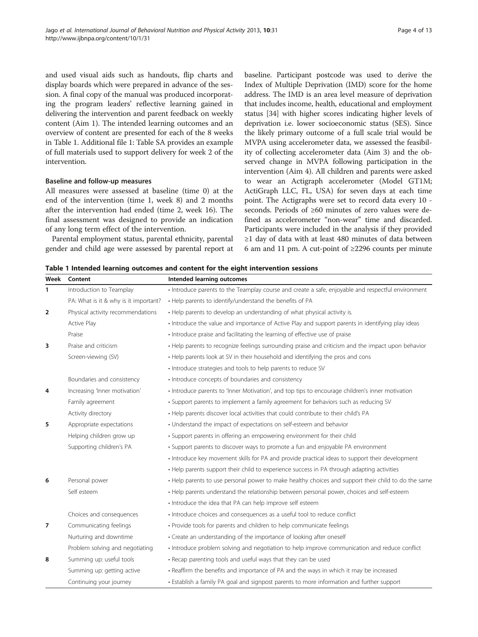and used visual aids such as handouts, flip charts and display boards which were prepared in advance of the session. A final copy of the manual was produced incorporating the program leaders' reflective learning gained in delivering the intervention and parent feedback on weekly content (Aim 1). The intended learning outcomes and an overview of content are presented for each of the 8 weeks in Table 1. Additional file [1](#page-10-0): Table SA provides an example of full materials used to support delivery for week 2 of the intervention.

#### Baseline and follow-up measures

All measures were assessed at baseline (time 0) at the end of the intervention (time 1, week 8) and 2 months after the intervention had ended (time 2, week 16). The final assessment was designed to provide an indication of any long term effect of the intervention.

Parental employment status, parental ethnicity, parental gender and child age were assessed by parental report at

baseline. Participant postcode was used to derive the Index of Multiple Deprivation (IMD) score for the home address. The IMD is an area level measure of deprivation that includes income, health, educational and employment status [\[34\]](#page-11-0) with higher scores indicating higher levels of deprivation i.e. lower socioeconomic status (SES). Since the likely primary outcome of a full scale trial would be MVPA using accelerometer data, we assessed the feasibility of collecting accelerometer data (Aim 3) and the observed change in MVPA following participation in the intervention (Aim 4). All children and parents were asked to wear an Actigraph accelerometer (Model GT1M; ActiGraph LLC, FL, USA) for seven days at each time point. The Actigraphs were set to record data every 10 seconds. Periods of ≥60 minutes of zero values were defined as accelerometer "non-wear" time and discarded. Participants were included in the analysis if they provided ≥1 day of data with at least 480 minutes of data between 6 am and 11 pm. A cut-point of ≥2296 counts per minute

|  |  |  |  |  |  |  |  | Table 1 Intended learning outcomes and content for the eight intervention sessions |  |
|--|--|--|--|--|--|--|--|------------------------------------------------------------------------------------|--|
|--|--|--|--|--|--|--|--|------------------------------------------------------------------------------------|--|

| Week           | Content                               | Intended learning outcomes                                                                          |
|----------------|---------------------------------------|-----------------------------------------------------------------------------------------------------|
| 1              | Introduction to Teamplay              | • Introduce parents to the Teamplay course and create a safe, enjoyable and respectful environment  |
|                | PA: What is it & why is it important? | • Help parents to identify/understand the benefits of PA                                            |
| 2              | Physical activity recommendations     | • Help parents to develop an understanding of what physical activity is.                            |
|                | Active Play                           | • Introduce the value and importance of Active Play and support parents in identifying play ideas   |
|                | Praise                                | • Introduce praise and facilitating the learning of effective use of praise                         |
| 3              | Praise and criticism                  | • Help parents to recognize feelings surrounding praise and criticism and the impact upon behavior  |
|                | Screen-viewing (SV)                   | • Help parents look at SV in their household and identifying the pros and cons                      |
|                |                                       | · Introduce strategies and tools to help parents to reduce SV                                       |
|                | Boundaries and consistency            | · Introduce concepts of boundaries and consistency                                                  |
| 4              | Increasing 'Inner motivation'         | • Introduce parents to 'Inner Motivation', and top tips to encourage children's inner motivation    |
|                | Family agreement                      | • Support parents to implement a family agreement for behaviors such as reducing SV                 |
|                | Activity directory                    | . Help parents discover local activities that could contribute to their child's PA                  |
| 5              | Appropriate expectations              | • Understand the impact of expectations on self-esteem and behavior                                 |
|                | Helping children grow up              | • Support parents in offering an empowering environment for their child                             |
|                | Supporting children's PA              | • Support parents to discover ways to promote a fun and enjoyable PA environment                    |
|                |                                       | • Introduce key movement skills for PA and provide practical ideas to support their development     |
|                |                                       | • Help parents support their child to experience success in PA through adapting activities          |
| 6              | Personal power                        | . Help parents to use personal power to make healthy choices and support their child to do the same |
|                | Self esteem                           | • Help parents understand the relationship between personal power, choices and self-esteem          |
|                |                                       | • Introduce the idea that PA can help improve self esteem                                           |
|                | Choices and consequences              | · Introduce choices and consequences as a useful tool to reduce conflict                            |
| $\overline{7}$ | Communicating feelings                | • Provide tools for parents and children to help communicate feelings                               |
|                | Nurturing and downtime                | • Create an understanding of the importance of looking after oneself                                |
|                | Problem solving and negotiating       | · Introduce problem solving and negotiation to help improve communication and reduce conflict       |
| 8              | Summing up: useful tools              | • Recap parenting tools and useful ways that they can be used                                       |
|                | Summing up: getting active            | • Reaffirm the benefits and importance of PA and the ways in which it may be increased              |
|                | Continuing your journey               | • Establish a family PA goal and signpost parents to more information and further support           |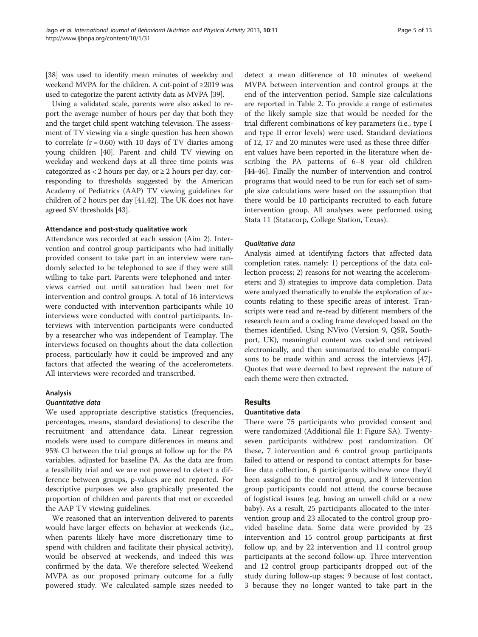[[38](#page-11-0)] was used to identify mean minutes of weekday and weekend MVPA for the children. A cut-point of ≥2019 was used to categorize the parent activity data as MVPA [\[39](#page-11-0)].

Using a validated scale, parents were also asked to report the average number of hours per day that both they and the target child spent watching television. The assessment of TV viewing via a single question has been shown to correlate  $(r = 0.60)$  with 10 days of TV diaries among young children [\[40\]](#page-11-0). Parent and child TV viewing on weekday and weekend days at all three time points was categorized as < 2 hours per day, or  $\geq$  2 hours per day, corresponding to thresholds suggested by the American Academy of Pediatrics (AAP) TV viewing guidelines for children of 2 hours per day [\[41,42](#page-11-0)]. The UK does not have agreed SV thresholds [\[43\]](#page-11-0).

#### Attendance and post-study qualitative work

Attendance was recorded at each session (Aim 2). Intervention and control group participants who had initially provided consent to take part in an interview were randomly selected to be telephoned to see if they were still willing to take part. Parents were telephoned and interviews carried out until saturation had been met for intervention and control groups. A total of 16 interviews were conducted with intervention participants while 10 interviews were conducted with control participants. Interviews with intervention participants were conducted by a researcher who was independent of Teamplay. The interviews focused on thoughts about the data collection process, particularly how it could be improved and any factors that affected the wearing of the accelerometers. All interviews were recorded and transcribed.

### Analysis

#### Quantitative data

We used appropriate descriptive statistics (frequencies, percentages, means, standard deviations) to describe the recruitment and attendance data. Linear regression models were used to compare differences in means and 95% CI between the trial groups at follow up for the PA variables, adjusted for baseline PA. As the data are from a feasibility trial and we are not powered to detect a difference between groups, p-values are not reported. For descriptive purposes we also graphically presented the proportion of children and parents that met or exceeded the AAP TV viewing guidelines.

We reasoned that an intervention delivered to parents would have larger effects on behavior at weekends (i.e., when parents likely have more discretionary time to spend with children and facilitate their physical activity), would be observed at weekends, and indeed this was confirmed by the data. We therefore selected Weekend MVPA as our proposed primary outcome for a fully powered study. We calculated sample sizes needed to

detect a mean difference of 10 minutes of weekend MVPA between intervention and control groups at the end of the intervention period. Sample size calculations are reported in Table [2.](#page-5-0) To provide a range of estimates of the likely sample size that would be needed for the trial different combinations of key parameters (i.e., type I and type II error levels) were used. Standard deviations of 12, 17 and 20 minutes were used as these three different values have been reported in the literature when describing the PA patterns of 6–8 year old children [[44-46](#page-11-0)]. Finally the number of intervention and control programs that would need to be run for each set of sample size calculations were based on the assumption that there would be 10 participants recruited to each future intervention group. All analyses were performed using Stata 11 (Statacorp, College Station, Texas).

#### Qualitative data

Analysis aimed at identifying factors that affected data completion rates, namely: 1) perceptions of the data collection process; 2) reasons for not wearing the accelerometers; and 3) strategies to improve data completion. Data were analyzed thematically to enable the exploration of accounts relating to these specific areas of interest. Transcripts were read and re-read by different members of the research team and a coding frame developed based on the themes identified. Using NVivo (Version 9, QSR, Southport, UK), meaningful content was coded and retrieved electronically, and then summarized to enable comparisons to be made within and across the interviews [[47](#page-11-0)]. Quotes that were deemed to best represent the nature of each theme were then extracted.

# Results

#### Quantitative data

There were 75 participants who provided consent and were randomized (Additional file [1](#page-10-0): Figure SA). Twentyseven participants withdrew post randomization. Of these, 7 intervention and 6 control group participants failed to attend or respond to contact attempts for baseline data collection, 6 participants withdrew once they'd been assigned to the control group, and 8 intervention group participants could not attend the course because of logistical issues (e.g. having an unwell child or a new baby). As a result, 25 participants allocated to the intervention group and 23 allocated to the control group provided baseline data. Some data were provided by 23 intervention and 15 control group participants at first follow up, and by 22 intervention and 11 control group participants at the second follow-up. Three intervention and 12 control group participants dropped out of the study during follow-up stages; 9 because of lost contact, 3 because they no longer wanted to take part in the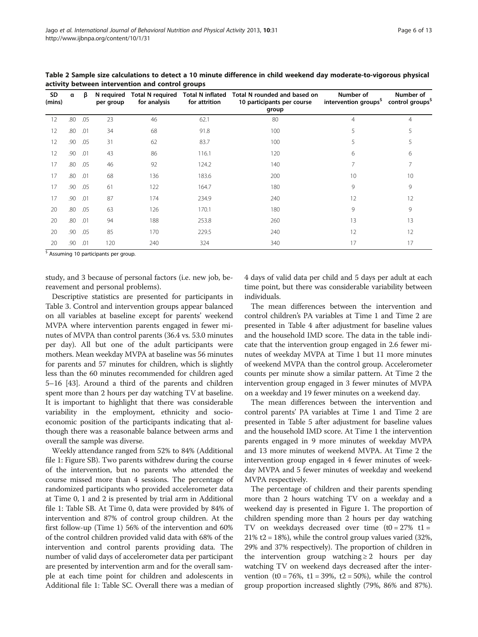| SD<br>(mins) | α   | ß   | N required<br>per group | for analysis | for attrition | Total N required Total N inflated Total N rounded and based on<br>10 participants per course<br>group | Number of<br>intervention groups <sup>\$</sup> | Number of<br>control groups <sup>5</sup> |
|--------------|-----|-----|-------------------------|--------------|---------------|-------------------------------------------------------------------------------------------------------|------------------------------------------------|------------------------------------------|
| 12           | .80 | .05 | 23                      | 46           | 62.1          | 80                                                                                                    | 4                                              | $\overline{4}$                           |
| 12           | .80 | .01 | 34                      | 68           | 91.8          | 100                                                                                                   | 5                                              | 5                                        |
| 12           | .90 | .05 | 31                      | 62           | 83.7          | 100                                                                                                   | 5                                              | 5                                        |
| 12           | .90 | .01 | 43                      | 86           | 116.1         | 120                                                                                                   | 6                                              | 6                                        |
| 17           | .80 | .05 | 46                      | 92           | 124.2         | 140                                                                                                   | 7                                              | 7                                        |
| 17           | .80 | .01 | 68                      | 136          | 183.6         | 200                                                                                                   | 10                                             | 10                                       |
| 17           | .90 | .05 | 61                      | 122          | 164.7         | 180                                                                                                   | 9                                              | 9                                        |
| 17           | .90 | .01 | 87                      | 174          | 234.9         | 240                                                                                                   | 12                                             | 12                                       |
| 20           | .80 | .05 | 63                      | 126          | 170.1         | 180                                                                                                   | 9                                              | 9                                        |
| 20           | .80 | .01 | 94                      | 188          | 253.8         | 260                                                                                                   | 13                                             | 13                                       |
| 20           | .90 | .05 | 85                      | 170          | 229.5         | 240                                                                                                   | 12                                             | 12                                       |
| 20           | .90 | .01 | 120                     | 240          | 324           | 340                                                                                                   | 17                                             | 17                                       |

<span id="page-5-0"></span>Table 2 Sample size calculations to detect a 10 minute difference in child weekend day moderate-to-vigorous physical activity between intervention and control groups

 $\frac{1}{5}$  Assuming 10 participants per group.

study, and 3 because of personal factors (i.e. new job, bereavement and personal problems).

Descriptive statistics are presented for participants in Table [3](#page-6-0). Control and intervention groups appear balanced on all variables at baseline except for parents' weekend MVPA where intervention parents engaged in fewer minutes of MVPA than control parents (36.4 vs. 53.0 minutes per day). All but one of the adult participants were mothers. Mean weekday MVPA at baseline was 56 minutes for parents and 57 minutes for children, which is slightly less than the 60 minutes recommended for children aged 5–16 [[43\]](#page-11-0). Around a third of the parents and children spent more than 2 hours per day watching TV at baseline. It is important to highlight that there was considerable variability in the employment, ethnicity and socioeconomic position of the participants indicating that although there was a reasonable balance between arms and overall the sample was diverse.

Weekly attendance ranged from 52% to 84% (Additional file [1](#page-10-0): Figure SB). Two parents withdrew during the course of the intervention, but no parents who attended the course missed more than 4 sessions. The percentage of randomized participants who provided accelerometer data at Time 0, 1 and 2 is presented by trial arm in Additional file [1:](#page-10-0) Table SB. At Time 0, data were provided by 84% of intervention and 87% of control group children. At the first follow-up (Time 1) 56% of the intervention and 60% of the control children provided valid data with 68% of the intervention and control parents providing data. The number of valid days of accelerometer data per participant are presented by intervention arm and for the overall sample at each time point for children and adolescents in Additional file [1](#page-10-0): Table SC. Overall there was a median of

4 days of valid data per child and 5 days per adult at each time point, but there was considerable variability between individuals.

The mean differences between the intervention and control children's PA variables at Time 1 and Time 2 are presented in Table [4](#page-7-0) after adjustment for baseline values and the household IMD score. The data in the table indicate that the intervention group engaged in 2.6 fewer minutes of weekday MVPA at Time 1 but 11 more minutes of weekend MVPA than the control group. Accelerometer counts per minute show a similar pattern. At Time 2 the intervention group engaged in 3 fewer minutes of MVPA on a weekday and 19 fewer minutes on a weekend day.

The mean differences between the intervention and control parents' PA variables at Time 1 and Time 2 are presented in Table [5](#page-7-0) after adjustment for baseline values and the household IMD score. At Time 1 the intervention parents engaged in 9 more minutes of weekday MVPA and 13 more minutes of weekend MVPA. At Time 2 the intervention group engaged in 4 fewer minutes of weekday MVPA and 5 fewer minutes of weekday and weekend MVPA respectively.

The percentage of children and their parents spending more than 2 hours watching TV on a weekday and a weekend day is presented in Figure [1](#page-8-0). The proportion of children spending more than 2 hours per day watching TV on weekdays decreased over time  $(t0 = 27\% t1 =$  $21\%$  t2 = 18%), while the control group values varied (32%, 29% and 37% respectively). The proportion of children in the intervention group watching  $\geq 2$  hours per day watching TV on weekend days decreased after the intervention (t0 = 76%, t1 = 39%, t2 = 50%), while the control group proportion increased slightly (79%, 86% and 87%).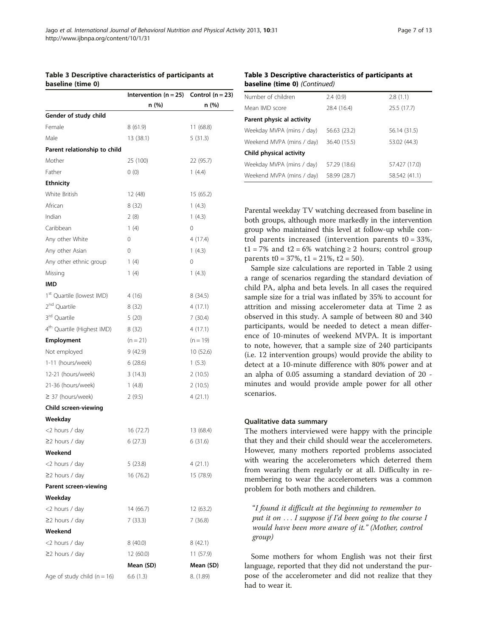#### <span id="page-6-0"></span>Table 3 Descriptive characteristics of participants at baseline (time 0)

| Table 3 Descriptive characteristics of participants at |
|--------------------------------------------------------|
| <b>baseline (time 0)</b> (Continued)                   |

|                                        | Intervention ( $n = 25$ ) Control ( $n = 23$ ) |            |
|----------------------------------------|------------------------------------------------|------------|
|                                        | n (%)                                          | n (%)      |
| Gender of study child                  |                                                |            |
| Female                                 | 8 (61.9)                                       | 11(68.8)   |
| Male                                   | 13 (38.1)                                      | 5 (31.3)   |
| Parent relationship to child           |                                                |            |
| Mother                                 | 25 (100)                                       | 22 (95.7)  |
| Father                                 | 0(0)                                           | 1(4.4)     |
| <b>Ethnicity</b>                       |                                                |            |
| White British                          | 12 (48)                                        | 15 (65.2)  |
| African                                | 8(32)                                          | 1(4.3)     |
| Indian                                 | 2(8)                                           | 1(4.3)     |
| Caribbean                              | 1(4)                                           | 0          |
| Any other White                        | 0                                              | 4 (17.4)   |
| Any other Asian                        | 0                                              | 1(4.3)     |
| Any other ethnic group                 | 1(4)                                           | 0          |
| Missing                                | 1(4)                                           | 1(4.3)     |
| IMD                                    |                                                |            |
| 1 <sup>st</sup> Quartile (lowest IMD)  | 4 (16)                                         | 8(34.5)    |
| 2 <sup>nd</sup> Quartile               | 8(32)                                          | 4(17.1)    |
| 3rd Quartile                           | 5(20)                                          | 7(30.4)    |
| 4 <sup>th</sup> Quartile (Highest IMD) | 8(32)                                          | 4 (17.1)   |
| Employment                             | $(n = 21)$                                     | $(n = 19)$ |
| Not employed                           | 9(42.9)                                        | 10 (52.6)  |
| 1-11 (hours/week)                      | 6(28.6)                                        | 1(5.3)     |
| 12-21 (hours/week)                     | 3(14.3)                                        | 2 (10.5)   |
| 21-36 (hours/week)                     | 1(4.8)                                         | 2(10.5)    |
| $\geq$ 37 (hours/week)                 | 2(9.5)                                         | 4(21.1)    |
| Child screen-viewing                   |                                                |            |
| Weekday                                |                                                |            |
| <2 hours / day                         | 16 (72.7)                                      | 13 (68.4)  |
| $\geq$ 2 hours / day                   | 6(27.3)                                        | 6(31.6)    |
| Weekend                                |                                                |            |
| <2 hours / day                         | 5(23.8)                                        | 4(21.1)    |
| $\geq$ hours / day                     | 16(76.2)                                       | 15 (78.9)  |
| Parent screen-viewing                  |                                                |            |
| Weekday                                |                                                |            |
| <2 hours / day                         | 14 (66.7)                                      | 12 (63.2)  |
| $\geq$ hours / day                     | 7 (33.3)                                       | 7 (36.8)   |
| Weekend                                |                                                |            |
| <2 hours / day                         | 8 (40.0)                                       | 8 (42.1)   |
| $\geq$ hours / day                     | 12(60.0)                                       | 11 (57.9)  |
|                                        | Mean (SD)                                      | Mean (SD)  |
| Age of study child $(n = 16)$          | 6.6(1.3)                                       | 8. (1.89)  |

| Number of children        | 2.4(0.9)     | 2.8(1.1)      |
|---------------------------|--------------|---------------|
| Mean IMD score            | 28.4 (16.4)  | 25.5 (17.7)   |
| Parent physic al activity |              |               |
| Weekday MVPA (mins / day) | 56.63 (23.2) | 56.14 (31.5)  |
| Weekend MVPA (mins / day) | 36.40 (15.5) | 53.02 (44.3)  |
| Child physical activity   |              |               |
| Weekday MVPA (mins / day) | 57.29 (18.6) | 57.427 (17.0) |
| Weekend MVPA (mins / day) | 58.99 (28.7) | 58.542 (41.1) |

Parental weekday TV watching decreased from baseline in both groups, although more markedly in the intervention group who maintained this level at follow-up while control parents increased (intervention parents  $t0 = 33\%$ , t1 = 7% and t2 = 6% watching  $\geq$  2 hours; control group parents t0 =  $37\%$ , t1 =  $21\%$ , t2 =  $50$ ).

Sample size calculations are reported in Table [2](#page-5-0) using a range of scenarios regarding the standard deviation of child PA, alpha and beta levels. In all cases the required sample size for a trial was inflated by 35% to account for attrition and missing accelerometer data at Time 2 as observed in this study. A sample of between 80 and 340 participants, would be needed to detect a mean difference of 10-minutes of weekend MVPA. It is important to note, however, that a sample size of 240 participants (i.e. 12 intervention groups) would provide the ability to detect at a 10-minute difference with 80% power and at an alpha of 0.05 assuming a standard deviation of 20 minutes and would provide ample power for all other scenarios.

#### Qualitative data summary

The mothers interviewed were happy with the principle that they and their child should wear the accelerometers. However, many mothers reported problems associated with wearing the accelerometers which deterred them from wearing them regularly or at all. Difficulty in remembering to wear the accelerometers was a common problem for both mothers and children.

"I found it difficult at the beginning to remember to put it on ... I suppose if I'd been going to the course I would have been more aware of it." (Mother, control group)

Some mothers for whom English was not their first language, reported that they did not understand the purpose of the accelerometer and did not realize that they had to wear it.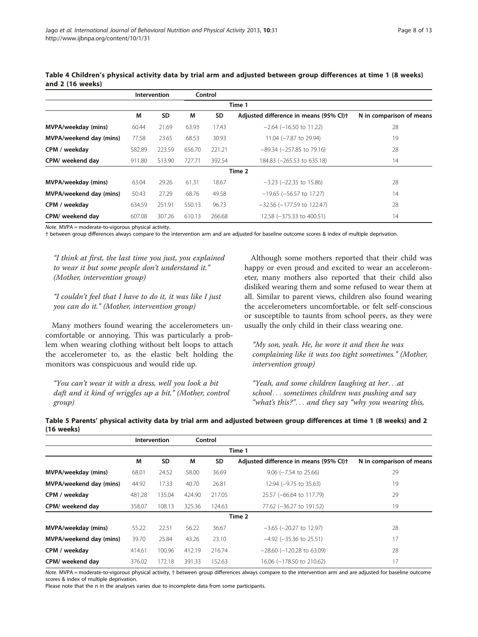|                            |        | Intervention |        | Control |                                        |                          |
|----------------------------|--------|--------------|--------|---------|----------------------------------------|--------------------------|
|                            |        |              |        |         | Time 1                                 |                          |
|                            | М      | SD.          | M      | SD      | Adjusted difference in means (95% CI)t | N in comparison of means |
| <b>MVPA/weekday (mins)</b> | 60.44  | 21.69        | 63.93  | 17.43   | $-2.64$ ( $-16.50$ to 11.22)           | 28                       |
| MVPA/weekend day (mins)    | 77.58  | 23.65        | 68.53  | 30.93   | 11.04 (-7.87 to 29.94)                 | 19                       |
| CPM / weekday              | 582.89 | 223.59       | 656.70 | 221.21  | $-89.34$ ( $-257.85$ to 79.16)         | 28                       |
| CPM/ weekend day           | 911.80 | 513.90       | 727.71 | 392.54  | 184.83 (-265.53 to 635.18)             | 14                       |
|                            |        |              |        |         | Time 2                                 |                          |
| <b>MVPA/weekday (mins)</b> | 63.04  | 29.26        | 61.31  | 18.67   | $-3.23$ ( $-22.35$ to 15.86)           | 28                       |
| MVPA/weekend day (mins)    | 50.43  | 27.29        | 68.76  | 49.58   | $-19.65$ (-56.57 to 17.27)             | 14                       |
| CPM / weekday              | 634.59 | 251.91       | 550.13 | 96.73   | $-32.56$ ( $-177.59$ to 122.47)        | 28                       |
| CPM/ weekend day           | 607.08 | 307.26       | 610.13 | 266.68  | 12.58 (-375.33 to 400.51)              | 14                       |

<span id="page-7-0"></span>Table 4 Children's physical activity data by trial arm and adjusted between group differences at time 1 (8 weeks) and 2 (16 weeks)

Note. MVPA = moderate-to-vigorous physical activity.

† between group differences always compare to the intervention arm and are adjusted for baseline outcome scores & index of multiple deprivation.

"I think at first, the last time you just, you explained to wear it but some people don't understand it." (Mother, intervention group)

"I couldn't feel that I have to do it, it was like I just you can do it." (Mother, intervention group)

Many mothers found wearing the accelerometers uncomfortable or annoying. This was particularly a problem when wearing clothing without belt loops to attach the accelerometer to, as the elastic belt holding the monitors was conspicuous and would ride up.

"You can't wear it with a dress, well you look a bit daft and it kind of wriggles up a bit." (Mother, control group)

Although some mothers reported that their child was happy or even proud and excited to wear an accelerometer, many mothers also reported that their child also disliked wearing them and some refused to wear them at all. Similar to parent views, children also found wearing the accelerometers uncomfortable, or felt self-conscious or susceptible to taunts from school peers, as they were usually the only child in their class wearing one.

"My son, yeah. He, he wore it and then he was complaining like it was too tight sometimes." (Mother, intervention group)

"Yeah, and some children laughing at her...at school... sometimes children was pushing and say "what's this?"... and they say "why you wearing this,

Table 5 Parents' physical activity data by trial arm and adjusted between group differences at time 1 (8 weeks) and 2 (16 weeks)

|                            |        | Intervention |        | Control |                                                    |                          |
|----------------------------|--------|--------------|--------|---------|----------------------------------------------------|--------------------------|
|                            |        |              |        |         | Time 1                                             |                          |
|                            | М      | <b>SD</b>    | М      | SD      | Adjusted difference in means (95% CI) <sup>+</sup> | N in comparison of means |
| <b>MVPA/weekday (mins)</b> | 68.01  | 24.52        | 58.00  | 36.69   | $9.06$ ( $-7.54$ to 25.66)                         | 29                       |
| MVPA/weekend day (mins)    | 44.92  | 17.33        | 40.70  | 26.81   | 12.94 (-9.75 to 35.63)                             | 19                       |
| CPM / weekday              | 481.28 | 135.04       | 424.90 | 217.05  | 25.57 (-66.64 to 117.79)                           | 29                       |
| CPM/ weekend day           | 358.07 | 108.13       | 325.36 | 124.63  | 77.62 (-36.27 to 191.52)                           | 19                       |
|                            |        |              |        |         | Time 2                                             |                          |
| MVPA/weekday (mins)        | 55.22  | 22.51        | 56.22  | 36.67   | $-3.65$ ( $-20.27$ to 12.97)                       | 28                       |
| MVPA/weekend day (mins)    | 39.70  | 25.84        | 43.26  | 23.10   | $-4.92$ ( $-35.36$ to 25.51)                       | 17                       |
| CPM / weekday              | 414.61 | 100.96       | 412.19 | 216.74  | $-28.60$ ( $-120.28$ to 63.09)                     | 28                       |
| CPM/ weekend day           | 376.02 | 172.18       | 391.33 | 152.63  | 16.06 (-178.50 to 210.62)                          | 17                       |

Note. MVPA = moderate-to-vigorous physical activity, † between group differences always compare to the intervention arm and are adjusted for baseline outcome scores & index of multiple deprivation.

Please note that the n in the analyses varies due to incomplete data from some participants.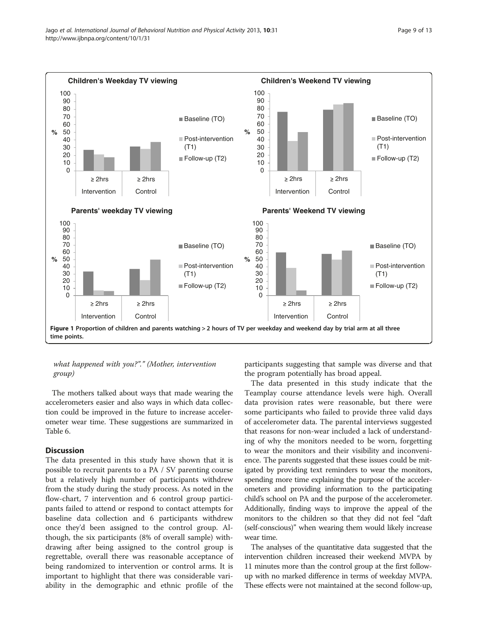<span id="page-8-0"></span>

# what happened with you?"." (Mother, intervention group)

The mothers talked about ways that made wearing the accelerometers easier and also ways in which data collection could be improved in the future to increase accelerometer wear time. These suggestions are summarized in Table [6.](#page-9-0)

# **Discussion**

The data presented in this study have shown that it is possible to recruit parents to a PA / SV parenting course but a relatively high number of participants withdrew from the study during the study process. As noted in the flow-chart, 7 intervention and 6 control group participants failed to attend or respond to contact attempts for baseline data collection and 6 participants withdrew once they'd been assigned to the control group. Although, the six participants (8% of overall sample) withdrawing after being assigned to the control group is regrettable, overall there was reasonable acceptance of being randomized to intervention or control arms. It is important to highlight that there was considerable variability in the demographic and ethnic profile of the

participants suggesting that sample was diverse and that the program potentially has broad appeal.

The data presented in this study indicate that the Teamplay course attendance levels were high. Overall data provision rates were reasonable, but there were some participants who failed to provide three valid days of accelerometer data. The parental interviews suggested that reasons for non-wear included a lack of understanding of why the monitors needed to be worn, forgetting to wear the monitors and their visibility and inconvenience. The parents suggested that these issues could be mitigated by providing text reminders to wear the monitors, spending more time explaining the purpose of the accelerometers and providing information to the participating child's school on PA and the purpose of the accelerometer. Additionally, finding ways to improve the appeal of the monitors to the children so that they did not feel "daft (self-conscious)" when wearing them would likely increase wear time.

The analyses of the quantitative data suggested that the intervention children increased their weekend MVPA by 11 minutes more than the control group at the first followup with no marked difference in terms of weekday MVPA. These effects were not maintained at the second follow-up,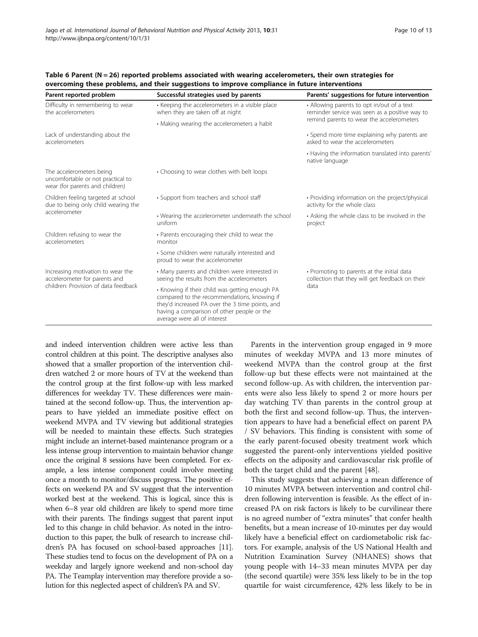| Parent reported problem                                                                          | Successful strategies used by parents                                                                                                                                                                                          | Parents' suggestions for future intervention                                                  |  |
|--------------------------------------------------------------------------------------------------|--------------------------------------------------------------------------------------------------------------------------------------------------------------------------------------------------------------------------------|-----------------------------------------------------------------------------------------------|--|
| Difficulty in remembering to wear<br>the accelerometers                                          | • Keeping the accelerometers in a visible place<br>when they are taken off at night                                                                                                                                            | • Allowing parents to opt in/out of a text<br>reminder service was seen as a positive way to  |  |
|                                                                                                  | • Making wearing the accelerometers a habit                                                                                                                                                                                    | remind parents to wear the accelerometers                                                     |  |
| Lack of understanding about the<br>accelerometers                                                |                                                                                                                                                                                                                                | · Spend more time explaining why parents are<br>asked to wear the accelerometers              |  |
|                                                                                                  |                                                                                                                                                                                                                                | • Having the information translated into parents'<br>native language                          |  |
| The accelerometers being<br>uncomfortable or not practical to<br>wear (for parents and children) | • Choosing to wear clothes with belt loops                                                                                                                                                                                     |                                                                                               |  |
| Children feeling targeted at school<br>due to being only child wearing the                       | • Support from teachers and school staff                                                                                                                                                                                       | • Providing information on the project/physical<br>activity for the whole class               |  |
| accelerometer                                                                                    | • Wearing the accelerometer underneath the school<br>uniform                                                                                                                                                                   | • Asking the whole class to be involved in the<br>project                                     |  |
| Children refusing to wear the<br>accelerometers                                                  | • Parents encouraging their child to wear the<br>monitor                                                                                                                                                                       |                                                                                               |  |
|                                                                                                  | • Some children were naturally interested and<br>proud to wear the accelerometer                                                                                                                                               |                                                                                               |  |
| Increasing motivation to wear the<br>accelerometer for parents and                               | • Many parents and children were interested in<br>seeing the results from the accelerometers                                                                                                                                   | • Promoting to parents at the initial data<br>collection that they will get feedback on their |  |
| children: Provision of data feedback                                                             | • Knowing if their child was getting enough PA<br>compared to the recommendations, knowing if<br>they'd increased PA over the 3 time points, and<br>having a comparison of other people or the<br>average were all of interest | data                                                                                          |  |

<span id="page-9-0"></span>Table 6 Parent (N = 26) reported problems associated with wearing accelerometers, their own strategies for overcoming these problems, and their suggestions to improve compliance in future interventions

and indeed intervention children were active less than control children at this point. The descriptive analyses also showed that a smaller proportion of the intervention children watched 2 or more hours of TV at the weekend than the control group at the first follow-up with less marked differences for weekday TV. These differences were maintained at the second follow-up. Thus, the intervention appears to have yielded an immediate positive effect on weekend MVPA and TV viewing but additional strategies will be needed to maintain these effects. Such strategies might include an internet-based maintenance program or a less intense group intervention to maintain behavior change once the original 8 sessions have been completed. For example, a less intense component could involve meeting once a month to monitor/discuss progress. The positive effects on weekend PA and SV suggest that the intervention worked best at the weekend. This is logical, since this is when 6–8 year old children are likely to spend more time with their parents. The findings suggest that parent input led to this change in child behavior. As noted in the introduction to this paper, the bulk of research to increase children's PA has focused on school-based approaches [\[11](#page-11-0)]. These studies tend to focus on the development of PA on a weekday and largely ignore weekend and non-school day PA. The Teamplay intervention may therefore provide a solution for this neglected aspect of children's PA and SV.

Parents in the intervention group engaged in 9 more minutes of weekday MVPA and 13 more minutes of weekend MVPA than the control group at the first follow-up but these effects were not maintained at the second follow-up. As with children, the intervention parents were also less likely to spend 2 or more hours per day watching TV than parents in the control group at both the first and second follow-up. Thus, the intervention appears to have had a beneficial effect on parent PA / SV behaviors. This finding is consistent with some of the early parent-focused obesity treatment work which suggested the parent-only interventions yielded positive effects on the adiposity and cardiovascular risk profile of both the target child and the parent [[48\]](#page-11-0).

This study suggests that achieving a mean difference of 10 minutes MVPA between intervention and control children following intervention is feasible. As the effect of increased PA on risk factors is likely to be curvilinear there is no agreed number of "extra minutes" that confer health benefits, but a mean increase of 10-minutes per day would likely have a beneficial effect on cardiometabolic risk factors. For example, analysis of the US National Health and Nutrition Examination Survey (NHANES) shows that young people with 14–33 mean minutes MVPA per day (the second quartile) were 35% less likely to be in the top quartile for waist circumference, 42% less likely to be in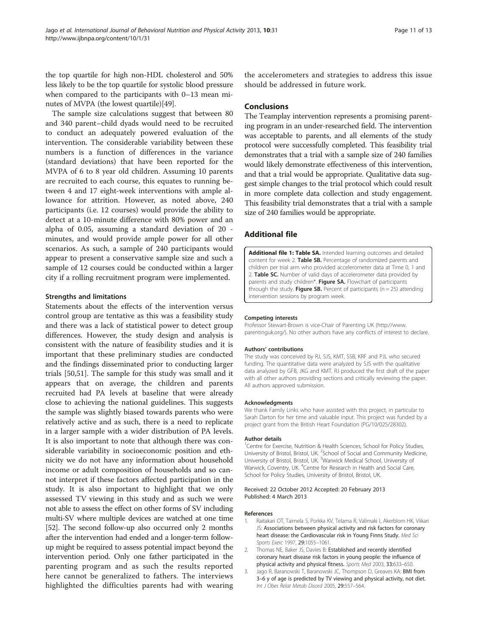<span id="page-10-0"></span>the top quartile for high non-HDL cholesterol and 50% less likely to be the top quartile for systolic blood pressure when compared to the participants with 0–13 mean minutes of MVPA (the lowest quartile)[[49](#page-11-0)].

The sample size calculations suggest that between 80 and 340 parent–child dyads would need to be recruited to conduct an adequately powered evaluation of the intervention. The considerable variability between these numbers is a function of differences in the variance (standard deviations) that have been reported for the MVPA of 6 to 8 year old children. Assuming 10 parents are recruited to each course, this equates to running between 4 and 17 eight-week interventions with ample allowance for attrition. However, as noted above, 240 participants (i.e. 12 courses) would provide the ability to detect at a 10-minute difference with 80% power and an alpha of 0.05, assuming a standard deviation of 20 minutes, and would provide ample power for all other scenarios. As such, a sample of 240 participants would appear to present a conservative sample size and such a sample of 12 courses could be conducted within a larger city if a rolling recruitment program were implemented.

#### Strengths and limitations

Statements about the effects of the intervention versus control group are tentative as this was a feasibility study and there was a lack of statistical power to detect group differences. However, the study design and analysis is consistent with the nature of feasibility studies and it is important that these preliminary studies are conducted and the findings disseminated prior to conducting larger trials [\[50](#page-11-0)[,51](#page-12-0)]. The sample for this study was small and it appears that on average, the children and parents recruited had PA levels at baseline that were already close to achieving the national guidelines. This suggests the sample was slightly biased towards parents who were relatively active and as such, there is a need to replicate in a larger sample with a wider distribution of PA levels. It is also important to note that although there was considerable variability in socioeconomic position and ethnicity we do not have any information about household income or adult composition of households and so cannot interpret if these factors affected participation in the study. It is also important to highlight that we only assessed TV viewing in this study and as such we were not able to assess the effect on other forms of SV including multi-SV where multiple devices are watched at one time [[52](#page-12-0)]. The second follow-up also occurred only 2 months after the intervention had ended and a longer-term followup might be required to assess potential impact beyond the intervention period. Only one father participated in the parenting program and as such the results reported here cannot be generalized to fathers. The interviews highlighted the difficulties parents had with wearing

the accelerometers and strategies to address this issue should be addressed in future work.

# Conclusions

The Teamplay intervention represents a promising parenting program in an under-researched field. The intervention was acceptable to parents, and all elements of the study protocol were successfully completed. This feasibility trial demonstrates that a trial with a sample size of 240 families would likely demonstrate effectiveness of this intervention, and that a trial would be appropriate. Qualitative data suggest simple changes to the trial protocol which could result in more complete data collection and study engagement. This feasibility trial demonstrates that a trial with a sample size of 240 families would be appropriate.

# Additional file

[Additional file 1: Table SA.](http://www.biomedcentral.com/content/supplementary/1479-5868-10-31-S1.doc) Intended learning outcomes and detailed content for week 2. Table SB. Percentage of randomized parents and children per trial arm who provided accelerometer data at Time 0, 1 and 2. Table SC. Number of valid days of accelerometer data provided by parents and study children\*. Figure SA. Flowchart of participants through the study. Figure SB. Percent of participants ( $n = 25$ ) attending intervention sessions by program week.

#### Competing interests

Professor Stewart-Brown is vice-Chair of Parenting UK [\(http://www.](http://www.parentinguk.org/) [parentinguk.org/\)](http://www.parentinguk.org/). No other authors have any conflicts of interest to declare.

#### Authors' contributions

The study was conceived by RJ, SJS, KMT, SSB, KRF and PJL who secured funding. The quantitative data were analyzed by SJS with the qualitative data analyzed by GFB, JKG and KMT. RJ produced the first draft of the paper with all other authors providing sections and critically reviewing the paper. All authors approved submission.

#### Acknowledgments

We thank Family Links who have assisted with this project, in particular to Sarah Darton for her time and valuable input. This project was funded by a project grant from the British Heart Foundation (PG/10/025/28302).

#### Author details

<sup>1</sup> Centre for Exercise, Nutrition & Health Sciences, School for Policy Studies, University of Bristol, Bristol, UK. <sup>2</sup>School of Social and Community Medicine, University of Bristol, Bristol, UK. <sup>3</sup>Warwick Medical School, University of Warwick, Coventry, UK. <sup>4</sup>Centre for Research in Health and Social Care School for Policy Studies, University of Bristol, Bristol, UK.

#### Received: 22 October 2012 Accepted: 20 February 2013 Published: 4 March 2013

#### References

- 1. Raitakari OT, Taimela S, Porkka KV, Telama R, Valimaki I, Akerblom HK, Viikari JS: Associations between physical activity and risk factors for coronary heart disease: the Cardiovascular risk in Young Finns Study. Med Sci Sports Exerc 1997, 29:1055-1061.
- 2. Thomas NE, Baker JS, Davies B: Established and recently identified coronary heart disease risk factors in young people: the influence of physical activity and physical fitness. Sports Med 2003, 33:633-650.
- 3. Jago R, Baranowski T, Baranowski JC, Thompson D, Greaves KA: BMI from 3–6 y of age is predicted by TV viewing and physical activity, not diet. Int J Obes Relat Metab Disord 2005, 29:557-564.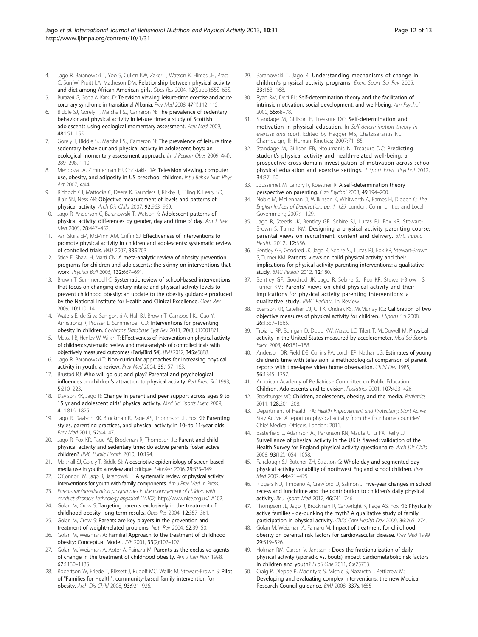- <span id="page-11-0"></span>4. Jago R, Baranowski T, Yoo S, Cullen KW, Zakeri I, Watson K, Himes JH, Pratt C, Sun W, Pruitt LA, Matheson DM: Relationship between physical activity and diet among African-American girls. Obes Res 2004, 12(Suppl):55S–63S.
- Burazeri G, Goda A, Kark JD: Television viewing, leisure-time exercise and acute coronary syndrome in transitional Albania. Prev Med 2008, 47(1):112–115.
- 6. Biddle SJ, Gorely T, Marshall SJ, Cameron N: The prevalence of sedentary behavior and physical activity in leisure time: a study of Scottish adolescents using ecological momentary assessment. Prev Med 2009, 48:151–155.
- 7. Gorely T, Biddle SJ, Marshall SJ, Cameron N: The prevalence of leisure time sedentary behaviour and physical activity in adolescent boys: an ecological momentary assessment approach. Int J Pediatr Obes 2009, 4(4): 289–298. 1-10.
- 8. Mendoza JA, Zimmerman FJ, Christakis DA: Television viewing, computer use, obesity, and adiposity in US preschool children. Int J Behav Nutr Phys Act 2007, 4:44.
- Riddoch CJ, Mattocks C, Deere K, Saunders J, Kirkby J, Tilling K, Leary SD, Blair SN, Ness AR: Objective measurement of levels and patterns of physical activity. Arch Dis Child 2007, 92:963–969.
- 10. Jago R, Anderson C, Baranowski T, Watson K: Adolescent patterns of physical activity: differences by gender, day and time of day. Am J Prev Med 2005, 28:447–452.
- 11. van Sluijs EM, McMinn AM, Griffin SJ: Effectiveness of interventions to promote physical activity in children and adolescents: systematic review of controlled trials. BMJ 2007, 335:703.
- 12. Stice E, Shaw H, Marti CN: A meta-analytic review of obesity prevention programs for children and adolescents: the skinny on interventions that work. Psychol Bull 2006, 132:667–691.
- 13. Brown T, Summerbell C: Systematic review of school-based interventions that focus on changing dietary intake and physical activity levels to prevent childhood obesity: an update to the obesity guidance produced by the National Institute for Health and Clinical Excellence. Obes Rev 2009, 10:110–141.
- 14. Waters E, de Silva-Sanigorski A, Hall BJ, Brown T, Campbell KJ, Gao Y, Armstrong R, Prosser L, Summerbell CD: Interventions for preventing obesity in children. Cochrane Database Syst Rev 2011, 20(3):CD001871.
- 15. Metcalf B, Henley W, Wilkin T: Effectiveness of intervention on physical activity of children: systematic review and meta-analysis of controlled trials with objectively measured outcomes (EarlyBird 54). BMJ 2012, 345:e5888.
- 16. Jago R, Baranowski T: Non-curricular approaches for increasing physical activity in youth: a review. Prev Med 2004, 39:157–163.
- 17. Brustad RJ: Who will go out and play? Parental and psychological influences on children's attraction to physical activity. Ped Exerc Sci 1993, 5:210–223.
- 18. Davison KK, Jago R: Change in parent and peer support across ages 9 to 15 yr and adolescent girls' physical activity. Med Sci Sports Exerc 2009, 41:1816–1825.
- 19. Jago R, Davison KK, Brockman R, Page AS, Thompson JL, Fox KR: Parenting styles, parenting practices, and physical activity in 10- to 11-year olds. Prev Med 2011, 52:44-47.
- 20. Jago R, Fox KR, Page AS, Brockman R, Thompson JL: Parent and child physical activity and sedentary time: do active parents foster active children? BMC Public Health 2010, 10:194.
- 21. Marshall SJ, Gorely T, Biddle SJ: A descriptive epidemiology of screen-based media use in youth: a review and critique. J Adolesc 2006, 29:333-349.
- 22. O'Connor TM, Jago R, Baranowski T: A systematic review of physical activity interventions for youth with family components. Am J Prev Med. In Press.
- 23. Parent-training/education programmes in the management of children with conduct disorders Technology appraisal (TA102). [http://www.nice.org.uk/TA102.](http://www.nice.org.uk/TA102)
- 24. Golan M, Crow S: Targeting parents exclusively in the treatment of childhood obesity: long-term results. Obes Res 2004, 12:357–361.
- 25. Golan M, Crow S: Parents are key players in the prevention and treatment of weight-related problems. Nutr Rev 2004, 62:39–50.
- 26. Golan M, Weizman A: Familial Approach to the treatment of childhood obesity: Conceptual Model. JNE 2001, 33(2):102–107.
- 27. Golan M, Weizman A, Apter A, Fainaru M: Parents as the exclusive agents of change in the treatment of childhood obesity. Am J Clin Nutr 1998, 67:1130–1135.
- 28. Robertson W, Friede T, Blissett J, Rudolf MC, Wallis M, Stewart-Brown S: Pilot of "Families for Health": community-based family intervention for obesity. Arch Dis Child 2008, 93:921–926.
- 29. Baranowski T, Jago R: Understanding mechanisms of change in children's physical activity programs. Exerc Sport Sci Rev 2005, 33:163–168.
- 30. Ryan RM, Deci EL: Self-determination theory and the facilitation of intrinsic motivation, social development, and well-being. Am Psychol 2000, 55:68–78.
- 31. Standage M, Gillison F, Treasure DC: Self-determination and motivation in physical education. In Self-determination theory in exercise and sport. Edited by Hagger MS, Chatzisarantis NL. Champaign, Il: Human Kinetics; 2007:71–85.
- 32. Standage M, Gillison FB, Ntoumanis N, Treasure DC: Predicting student's physical activity and health-related well-being: a prospective cross-domain investigation of motivation across school physical education and exercise settings. J Sport Exerc Psychol 2012, 34:37–60.
- 33. Joussemet M, Landry R, Koestner R: A self-determination theory perspective on parenting. Can Psychol 2008, 49:194–200.
- Noble M, McLennan D, Wilkinson K, Whitworth A, Barnes H, Dibben C: The English Indices of Deprivation. pp. 1–129. London: Communities and Local Government; 2007:1–129.
- 35. Jago R, Steeds JK, Bentley GF, Sebire SJ, Lucas PJ, Fox KR, Stewart-Brown S, Turner KM: Designing a physical activity parenting course: parental views on recruitment, content and delivery. BMC Public Health 2012, 12:356.
- 36. Bentley GF, Goodred JK, Jago R, Sebire SJ, Lucas PJ, Fox KR, Stewart-Brown S, Turner KM: Parents' views on child physical activity and their implications for physical activity parenting interventions: a qualitative study. BMC Pediatr 2012, 12:180.
- Bentley GF, Goodred JK, Jago R, Sebire SJ, Fox KR, Stewart-Brown S, Turner KM: Parents' views on child physical activity and their implications for physical activity parenting interventions: a qualitative study. BMC Pediatr. In Review.
- 38. Evenson KR, Catellier DJ, Gill K, Ondrak KS, McMurray RG: Calibration of two objective measures of physical activity for children. J Sports Sci 2008, 26:1557–1565.
- 39. Troiano RP, Berrigan D, Dodd KW, Masse LC, Tilert T, McDowell M: Physical activity in the United States measured by accelerometer. Med Sci Sports Exerc 2008, 40:181–188.
- 40. Anderson DR, Field DE, Collins PA, Lorch EP, Nathan JG: Estimates of young children's time with television: a methodological comparison of parent reports with time-lapse video home observation. Child Dev 1985, 56:1345–1357.
- 41. American Academy of Pediatrics Committee on Public Education: Children. Adolescents and television. Pediatrics 2001, 107:423–426.
- 42. Strasburger VC: Children, adolescents, obesity, and the media. Pediatrics 2011, 128:201–208.
- 43. Department of Health PA: Health Improvement and Protection,: Start Active. Stay Active: A report on physical activity from the four home countries' Chief Medical Officers. London; 2011.
- Basterfield L, Adamson AJ, Parkinson KN, Maute U, Li PX, Reilly JJ: Surveillance of physical activity in the UK is flawed: validation of the Health Survey for England physical activity questionnaire. Arch Dis Child 2008, 93(12):1054–1058.
- 45. Fairclough SJ, Butcher ZH, Stratton G: Whole-day and segmented-day physical activity variability of northwest England school children. Prev Med 2007, 44:421–425.
- 46. Ridgers ND, Timperio A, Crawford D, Salmon J: Five-year changes in school recess and lunchtime and the contribution to children's daily physical activity. Br J Sports Med 2012, 46:741-746.
- 47. Thompson JL, Jago R, Brockman R, Cartwright K, Page AS, Fox KR: Physically active families - de-bunking the myth? A qualitative study of family participation in physical activity. Child Care Health Dev 2009, 36:265–274.
- 48. Golan M, Weizman A, Fainaru M: Impact of treatment for childhood obesity on parental risk factors for cardiovascular disease. Prev Med 1999, 29:519–526.
- 49. Holman RM, Carson V, Janssen I: Does the fractionalization of daily physical activity (sporadic vs. bouts) impact cardiometabolic risk factors in children and youth? PLoS One 2011, 6:e25733.
- 50. Craig P, Dieppe P, Macintyre S, Michie S, Nazareth I, Petticrew M: Developing and evaluating complex interventions: the new Medical Research Council guidance. BMJ 2008, 337:a1655.